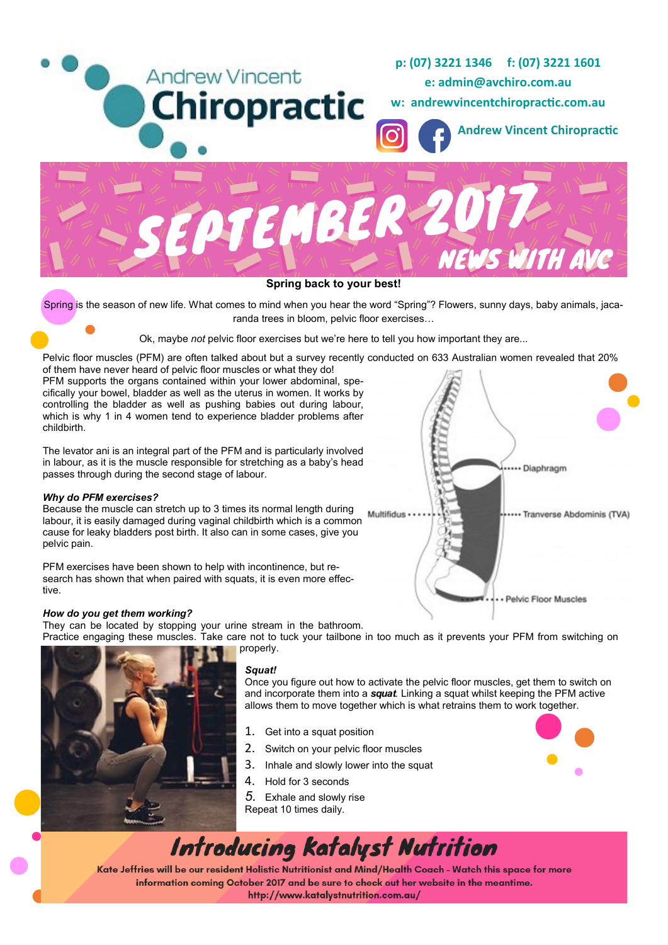

### **Spring back to your best!**

Spring is the season of new life. What comes to mind when you hear the word "Spring"? Flowers, sunny days, baby animals, jacaranda trees in bloom, pelvic floor exercises…

Ok, maybe *not* pelvic floor exercises but we're here to tell you how important they are...

Pelvic floor muscles (PFM) are often talked about but a survey recently conducted on 633 Australian women revealed that 20%

of them have never heard of pelvic floor muscles or what they do! PFM supports the organs contained within your lower abdominal, specifically your bowel, bladder as well as the uterus in women. It works by controlling the bladder as well as pushing babies out during labour, which is why 1 in 4 women tend to experience bladder problems after childbirth.

The levator ani is an integral part of the PFM and is particularly involved in labour, as it is the muscle responsible for stretching as a baby's head passes through during the second stage of labour.

### *Why do PFM exercises?*

Because the muscle can stretch up to 3 times its normal length during labour, it is easily damaged during vaginal childbirth which is a common cause for leaky bladders post birth. It also can in some cases, give you pelvic pain.

PFM exercises have been shown to help with incontinence, but research has shown that when paired with squats, it is even more effective.



They can be located by stopping your urine stream in the bathroom.

Practice engaging these muscles. Take care not to tuck your tailbone in too much as it prevents your PFM from switching on properly.



### *Squat!*

Once you figure out how to activate the pelvic floor muscles, get them to switch on and incorporate them into a *squat.* Linking a squat whilst keeping the PFM active allows them to move together which is what retrains them to work together.

- 1. Get into a squat position
- 2. Switch on your pelvic floor muscles
- 3. Inhale and slowly lower into the squat
- 4. Hold for 3 seconds
- *5.* Exhale and slowly rise
- Repeat 10 times daily.



# **Introducing Katalyst Nutrition**

Kate Jeffries will be our resident Holistic Nutritionist and Mind/Health Coach - Watch this space for more information coming October 2017 and be sure to check out her website in the meantime. http://www.katalystnutrition.com.au/